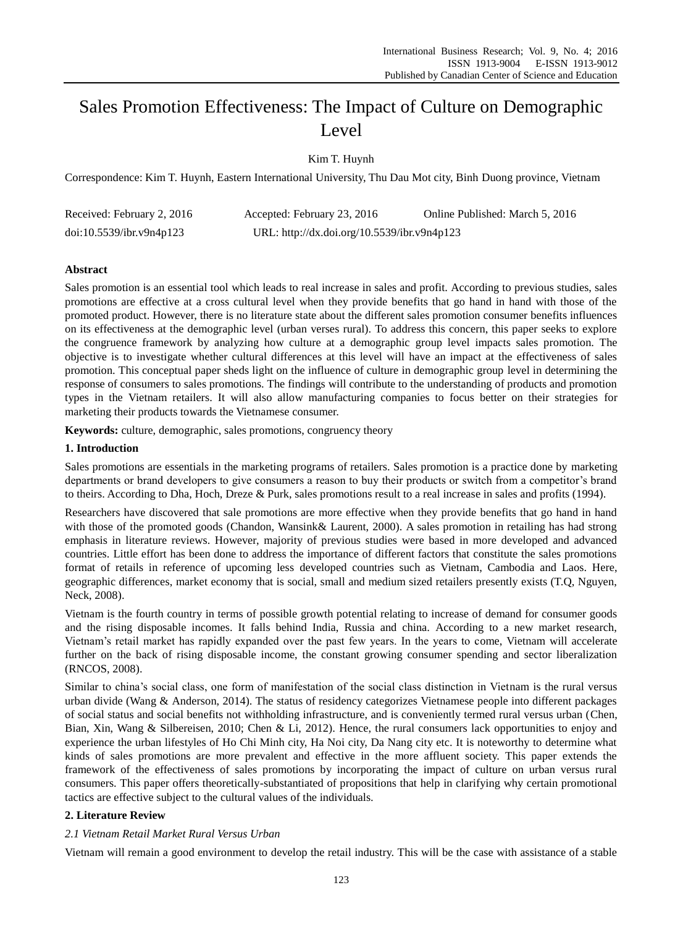# Sales Promotion Effectiveness: The Impact of Culture on Demographic Level

Kim T. Huynh

Correspondence: Kim T. Huynh, Eastern International University, Thu Dau Mot city, Binh Duong province, Vietnam

| Received: February 2, 2016 | Accepted: February 23, 2016                 | Online Published: March 5, 2016 |
|----------------------------|---------------------------------------------|---------------------------------|
| doi:10.5539/ibr.v9n4p123   | URL: http://dx.doi.org/10.5539/ibr.v9n4p123 |                                 |

# **Abstract**

Sales promotion is an essential tool which leads to real increase in sales and profit. According to previous studies, sales promotions are effective at a cross cultural level when they provide benefits that go hand in hand with those of the promoted product. However, there is no literature state about the different sales promotion consumer benefits influences on its effectiveness at the demographic level (urban verses rural). To address this concern, this paper seeks to explore the congruence framework by analyzing how culture at a demographic group level impacts sales promotion. The objective is to investigate whether cultural differences at this level will have an impact at the effectiveness of sales promotion. This conceptual paper sheds light on the influence of culture in demographic group level in determining the response of consumers to sales promotions. The findings will contribute to the understanding of products and promotion types in the Vietnam retailers. It will also allow manufacturing companies to focus better on their strategies for marketing their products towards the Vietnamese consumer.

**Keywords:** culture, demographic, sales promotions, congruency theory

## **1. Introduction**

Sales promotions are essentials in the marketing programs of retailers. Sales promotion is a practice done by marketing departments or brand developers to give consumers a reason to buy their products or switch from a competitor's brand to theirs. According to Dha, Hoch, Dreze & Purk, sales promotions result to a real increase in sales and profits (1994).

Researchers have discovered that sale promotions are more effective when they provide benefits that go hand in hand with those of the promoted goods (Chandon, Wansink& Laurent, 2000). A sales promotion in retailing has had strong emphasis in literature reviews. However, majority of previous studies were based in more developed and advanced countries. Little effort has been done to address the importance of different factors that constitute the sales promotions format of retails in reference of upcoming less developed countries such as Vietnam, Cambodia and Laos. Here, geographic differences, market economy that is social, small and medium sized retailers presently exists (T.Q, Nguyen, Neck, 2008).

Vietnam is the fourth country in terms of possible growth potential relating to increase of demand for consumer goods and the rising disposable incomes. It falls behind India, Russia and china. According to a new market research, Vietnam's retail market has rapidly expanded over the past few years. In the years to come, Vietnam will accelerate further on the back of rising disposable income, the constant growing consumer spending and sector liberalization (RNCOS, 2008).

Similar to china's social class, one form of manifestation of the social class distinction in Vietnam is the rural versus urban divide (Wang & Anderson, 2014). The status of residency categorizes Vietnamese people into different packages of social status and social benefits not withholding infrastructure, and is conveniently termed rural versus urban (Chen, Bian, Xin, Wang & Silbereisen, 2010; Chen & Li, 2012). Hence, the rural consumers lack opportunities to enjoy and experience the urban lifestyles of Ho Chi Minh city, Ha Noi city, Da Nang city etc. It is noteworthy to determine what kinds of sales promotions are more prevalent and effective in the more affluent society. This paper extends the framework of the effectiveness of sales promotions by incorporating the impact of culture on urban versus rural consumers. This paper offers theoretically-substantiated of propositions that help in clarifying why certain promotional tactics are effective subject to the cultural values of the individuals.

# **2. Literature Review**

# *2.1 Vietnam Retail Market Rural Versus Urban*

Vietnam will remain a good environment to develop the retail industry. This will be the case with assistance of a stable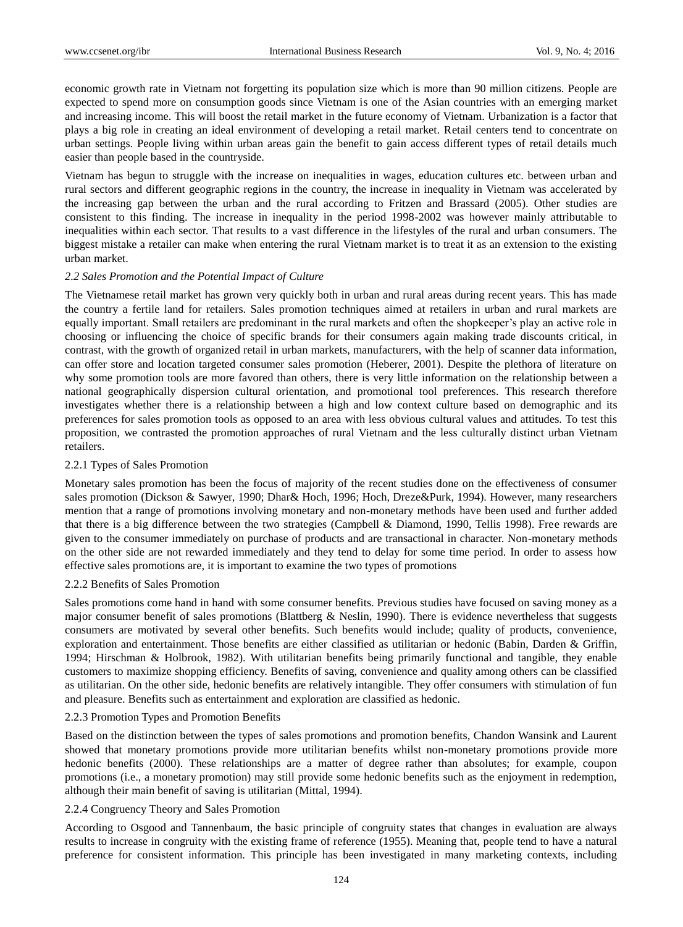economic growth rate in Vietnam not forgetting its population size which is more than 90 million citizens. People are expected to spend more on consumption goods since Vietnam is one of the Asian countries with an emerging market and increasing income. This will boost the retail market in the future economy of Vietnam. Urbanization is a factor that plays a big role in creating an ideal environment of developing a retail market. Retail centers tend to concentrate on urban settings. People living within urban areas gain the benefit to gain access different types of retail details much easier than people based in the countryside.

Vietnam has begun to struggle with the increase on inequalities in wages, education cultures etc. between urban and rural sectors and different geographic regions in the country, the increase in inequality in Vietnam was accelerated by the increasing gap between the urban and the rural according to Fritzen and Brassard (2005). Other studies are consistent to this finding. The increase in inequality in the period 1998-2002 was however mainly attributable to inequalities within each sector. That results to a vast difference in the lifestyles of the rural and urban consumers. The biggest mistake a retailer can make when entering the rural Vietnam market is to treat it as an extension to the existing urban market.

## *2.2 Sales Promotion and the Potential Impact of Culture*

The Vietnamese retail market has grown very quickly both in urban and rural areas during recent years. This has made the country a fertile land for retailers. Sales promotion techniques aimed at retailers in urban and rural markets are equally important. Small retailers are predominant in the rural markets and often the shopkeeper's play an active role in choosing or influencing the choice of specific brands for their consumers again making trade discounts critical, in contrast, with the growth of organized retail in urban markets, manufacturers, with the help of scanner data information, can offer store and location targeted consumer sales promotion (Heberer, 2001). Despite the plethora of literature on why some promotion tools are more favored than others, there is very little information on the relationship between a national geographically dispersion cultural orientation, and promotional tool preferences. This research therefore investigates whether there is a relationship between a high and low context culture based on demographic and its preferences for sales promotion tools as opposed to an area with less obvious cultural values and attitudes. To test this proposition, we contrasted the promotion approaches of rural Vietnam and the less culturally distinct urban Vietnam retailers.

## 2.2.1 Types of Sales Promotion

Monetary sales promotion has been the focus of majority of the recent studies done on the effectiveness of consumer sales promotion (Dickson & Sawyer, 1990; Dhar& Hoch, 1996; Hoch, Dreze&Purk, 1994). However, many researchers mention that a range of promotions involving monetary and non-monetary methods have been used and further added that there is a big difference between the two strategies (Campbell & Diamond, 1990, Tellis 1998). Free rewards are given to the consumer immediately on purchase of products and are transactional in character. Non-monetary methods on the other side are not rewarded immediately and they tend to delay for some time period. In order to assess how effective sales promotions are, it is important to examine the two types of promotions

## 2.2.2 Benefits of Sales Promotion

Sales promotions come hand in hand with some consumer benefits. Previous studies have focused on saving money as a major consumer benefit of sales promotions (Blattberg & Neslin, 1990). There is evidence nevertheless that suggests consumers are motivated by several other benefits. Such benefits would include; quality of products, convenience, exploration and entertainment. Those benefits are either classified as utilitarian or hedonic (Babin, Darden & Griffin, 1994; Hirschman & Holbrook, 1982). With utilitarian benefits being primarily functional and tangible, they enable customers to maximize shopping efficiency. Benefits of saving, convenience and quality among others can be classified as utilitarian. On the other side, hedonic benefits are relatively intangible. They offer consumers with stimulation of fun and pleasure. Benefits such as entertainment and exploration are classified as hedonic.

## 2.2.3 Promotion Types and Promotion Benefits

Based on the distinction between the types of sales promotions and promotion benefits, Chandon Wansink and Laurent showed that monetary promotions provide more utilitarian benefits whilst non-monetary promotions provide more hedonic benefits (2000). These relationships are a matter of degree rather than absolutes; for example, coupon promotions (i.e., a monetary promotion) may still provide some hedonic benefits such as the enjoyment in redemption, although their main benefit of saving is utilitarian (Mittal, 1994).

#### 2.2.4 Congruency Theory and Sales Promotion

According to Osgood and Tannenbaum, the basic principle of congruity states that changes in evaluation are always results to increase in congruity with the existing frame of reference (1955). Meaning that, people tend to have a natural preference for consistent information. This principle has been investigated in many marketing contexts, including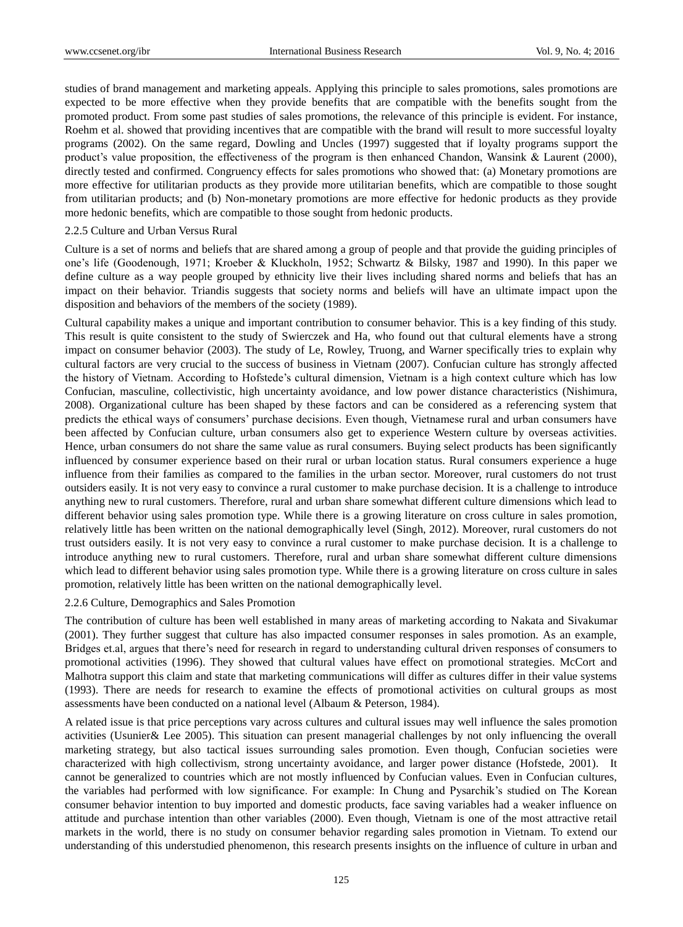studies of brand management and marketing appeals. Applying this principle to sales promotions, sales promotions are expected to be more effective when they provide benefits that are compatible with the benefits sought from the promoted product. From some past studies of sales promotions, the relevance of this principle is evident. For instance, Roehm et al. showed that providing incentives that are compatible with the brand will result to more successful loyalty programs (2002). On the same regard, Dowling and Uncles (1997) suggested that if loyalty programs support the product's value proposition, the effectiveness of the program is then enhanced Chandon, Wansink & Laurent (2000), directly tested and confirmed. Congruency effects for sales promotions who showed that: (a) Monetary promotions are more effective for utilitarian products as they provide more utilitarian benefits, which are compatible to those sought from utilitarian products; and (b) Non-monetary promotions are more effective for hedonic products as they provide more hedonic benefits, which are compatible to those sought from hedonic products.

#### 2.2.5 Culture and Urban Versus Rural

Culture is a set of norms and beliefs that are shared among a group of people and that provide the guiding principles of one's life (Goodenough, 1971; Kroeber & Kluckholn, 1952; Schwartz & Bilsky, 1987 and 1990). In this paper we define culture as a way people grouped by ethnicity live their lives including shared norms and beliefs that has an impact on their behavior. Triandis suggests that society norms and beliefs will have an ultimate impact upon the disposition and behaviors of the members of the society (1989).

Cultural capability makes a unique and important contribution to consumer behavior. This is a key finding of this study. This result is quite consistent to the study of Swierczek and Ha, who found out that cultural elements have a strong impact on consumer behavior (2003). The study of Le, Rowley, Truong, and Warner specifically tries to explain why cultural factors are very crucial to the success of business in Vietnam (2007). Confucian culture has strongly affected the history of Vietnam. According to Hofstede's cultural dimension, Vietnam is a high context culture which has low Confucian, masculine, collectivistic, high uncertainty avoidance, and low power distance characteristics (Nishimura, 2008). Organizational culture has been shaped by these factors and can be considered as a referencing system that predicts the ethical ways of consumers' purchase decisions. Even though, Vietnamese rural and urban consumers have been affected by Confucian culture, urban consumers also get to experience Western culture by overseas activities. Hence, urban consumers do not share the same value as rural consumers. Buying select products has been significantly influenced by consumer experience based on their rural or urban location status. Rural consumers experience a huge influence from their families as compared to the families in the urban sector. Moreover, rural customers do not trust outsiders easily. It is not very easy to convince a rural customer to make purchase decision. It is a challenge to introduce anything new to rural customers. Therefore, rural and urban share somewhat different culture dimensions which lead to different behavior using sales promotion type. While there is a growing literature on cross culture in sales promotion, relatively little has been written on the national demographically level (Singh, 2012). Moreover, rural customers do not trust outsiders easily. It is not very easy to convince a rural customer to make purchase decision. It is a challenge to introduce anything new to rural customers. Therefore, rural and urban share somewhat different culture dimensions which lead to different behavior using sales promotion type. While there is a growing literature on cross culture in sales promotion, relatively little has been written on the national demographically level.

#### 2.2.6 Culture, Demographics and Sales Promotion

The contribution of culture has been well established in many areas of marketing according to Nakata and Sivakumar (2001). They further suggest that culture has also impacted consumer responses in sales promotion. As an example, Bridges et.al, argues that there's need for research in regard to understanding cultural driven responses of consumers to promotional activities (1996). They showed that cultural values have effect on promotional strategies. McCort and Malhotra support this claim and state that marketing communications will differ as cultures differ in their value systems (1993). There are needs for research to examine the effects of promotional activities on cultural groups as most assessments have been conducted on a national level (Albaum & Peterson, 1984).

A related issue is that price perceptions vary across cultures and cultural issues may well influence the sales promotion activities (Usunier& Lee 2005). This situation can present managerial challenges by not only influencing the overall marketing strategy, but also tactical issues surrounding sales promotion. Even though, Confucian societies were characterized with high collectivism, strong uncertainty avoidance, and larger power distance (Hofstede, 2001). It cannot be generalized to countries which are not mostly influenced by Confucian values. Even in Confucian cultures, the variables had performed with low significance. For example: In Chung and Pysarchik's studied on The Korean consumer behavior intention to buy imported and domestic products, face saving variables had a weaker influence on attitude and purchase intention than other variables (2000). Even though, Vietnam is one of the most attractive retail markets in the world, there is no study on consumer behavior regarding sales promotion in Vietnam. To extend our understanding of this understudied phenomenon, this research presents insights on the influence of culture in urban and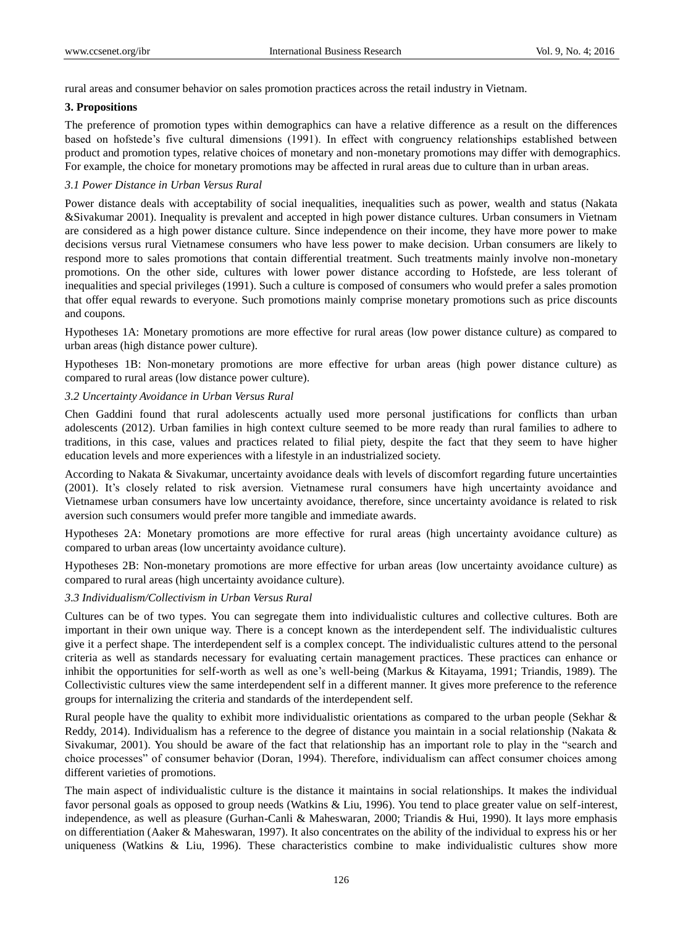rural areas and consumer behavior on sales promotion practices across the retail industry in Vietnam.

## **3. Propositions**

The preference of promotion types within demographics can have a relative difference as a result on the differences based on hofstede's five cultural dimensions (1991). In effect with congruency relationships established between product and promotion types, relative choices of monetary and non-monetary promotions may differ with demographics. For example, the choice for monetary promotions may be affected in rural areas due to culture than in urban areas.

## *3.1 Power Distance in Urban Versus Rural*

Power distance deals with acceptability of social inequalities, inequalities such as power, wealth and status (Nakata &Sivakumar 2001). Inequality is prevalent and accepted in high power distance cultures. Urban consumers in Vietnam are considered as a high power distance culture. Since independence on their income, they have more power to make decisions versus rural Vietnamese consumers who have less power to make decision. Urban consumers are likely to respond more to sales promotions that contain differential treatment. Such treatments mainly involve non-monetary promotions. On the other side, cultures with lower power distance according to Hofstede, are less tolerant of inequalities and special privileges (1991). Such a culture is composed of consumers who would prefer a sales promotion that offer equal rewards to everyone. Such promotions mainly comprise monetary promotions such as price discounts and coupons.

Hypotheses 1A: Monetary promotions are more effective for rural areas (low power distance culture) as compared to urban areas (high distance power culture).

Hypotheses 1B: Non-monetary promotions are more effective for urban areas (high power distance culture) as compared to rural areas (low distance power culture).

## *3.2 Uncertainty Avoidance in Urban Versus Rural*

Chen Gaddini found that rural adolescents actually used more personal justifications for conflicts than urban adolescents (2012). Urban families in high context culture seemed to be more ready than rural families to adhere to traditions, in this case, values and practices related to filial piety, despite the fact that they seem to have higher education levels and more experiences with a lifestyle in an industrialized society.

According to Nakata & Sivakumar, uncertainty avoidance deals with levels of discomfort regarding future uncertainties (2001). It's closely related to risk aversion. Vietnamese rural consumers have high uncertainty avoidance and Vietnamese urban consumers have low uncertainty avoidance, therefore, since uncertainty avoidance is related to risk aversion such consumers would prefer more tangible and immediate awards.

Hypotheses 2A: Monetary promotions are more effective for rural areas (high uncertainty avoidance culture) as compared to urban areas (low uncertainty avoidance culture).

Hypotheses 2B: Non-monetary promotions are more effective for urban areas (low uncertainty avoidance culture) as compared to rural areas (high uncertainty avoidance culture).

## *3.3 Individualism/Collectivism in Urban Versus Rural*

Cultures can be of two types. You can segregate them into individualistic cultures and collective cultures. Both are important in their own unique way. There is a concept known as the interdependent self. The individualistic cultures give it a perfect shape. The interdependent self is a complex concept. The individualistic cultures attend to the personal criteria as well as standards necessary for evaluating certain management practices. These practices can enhance or inhibit the opportunities for self-worth as well as one's well-being (Markus & Kitayama, 1991; Triandis, 1989). The Collectivistic cultures view the same interdependent self in a different manner. It gives more preference to the reference groups for internalizing the criteria and standards of the interdependent self.

Rural people have the quality to exhibit more individualistic orientations as compared to the urban people (Sekhar & Reddy, 2014). Individualism has a reference to the degree of distance you maintain in a social relationship (Nakata & Sivakumar, 2001). You should be aware of the fact that relationship has an important role to play in the "search and choice processes" of consumer behavior (Doran, 1994). Therefore, individualism can affect consumer choices among different varieties of promotions.

The main aspect of individualistic culture is the distance it maintains in social relationships. It makes the individual favor personal goals as opposed to group needs (Watkins & Liu, 1996). You tend to place greater value on self-interest, independence, as well as pleasure (Gurhan-Canli & Maheswaran, 2000; Triandis & Hui, 1990). It lays more emphasis on differentiation (Aaker & Maheswaran, 1997). It also concentrates on the ability of the individual to express his or her uniqueness (Watkins & Liu, 1996). These characteristics combine to make individualistic cultures show more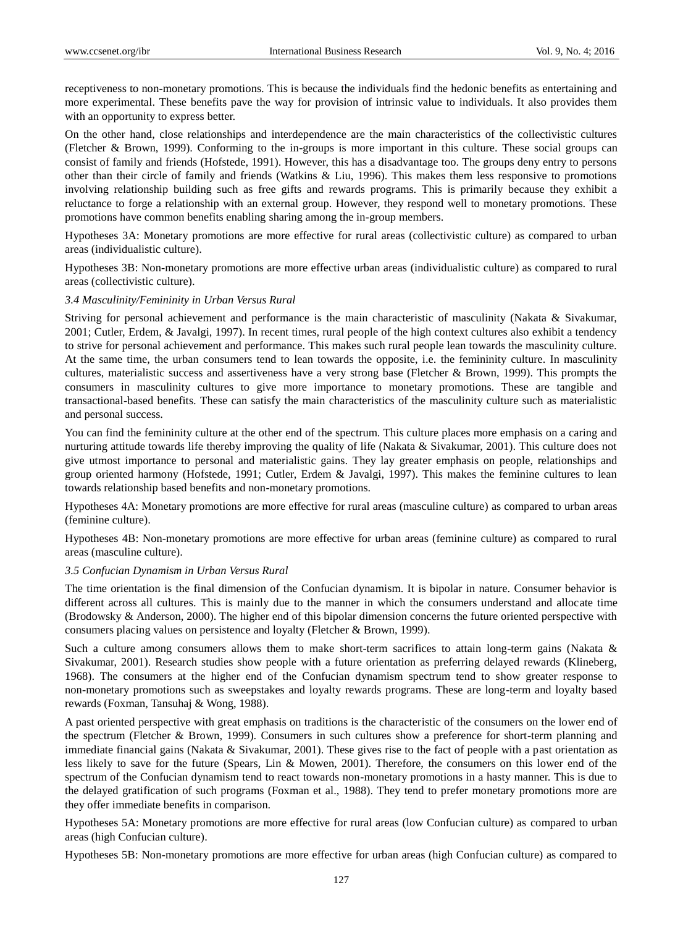receptiveness to non-monetary promotions. This is because the individuals find the hedonic benefits as entertaining and more experimental. These benefits pave the way for provision of intrinsic value to individuals. It also provides them with an opportunity to express better.

On the other hand, close relationships and interdependence are the main characteristics of the collectivistic cultures (Fletcher & Brown, 1999). Conforming to the in-groups is more important in this culture. These social groups can consist of family and friends (Hofstede, 1991). However, this has a disadvantage too. The groups deny entry to persons other than their circle of family and friends (Watkins & Liu, 1996). This makes them less responsive to promotions involving relationship building such as free gifts and rewards programs. This is primarily because they exhibit a reluctance to forge a relationship with an external group. However, they respond well to monetary promotions. These promotions have common benefits enabling sharing among the in-group members.

Hypotheses 3A: Monetary promotions are more effective for rural areas (collectivistic culture) as compared to urban areas (individualistic culture).

Hypotheses 3B: Non-monetary promotions are more effective urban areas (individualistic culture) as compared to rural areas (collectivistic culture).

#### *3.4 Masculinity/Femininity in Urban Versus Rural*

Striving for personal achievement and performance is the main characteristic of masculinity (Nakata & Sivakumar, 2001; Cutler, Erdem, & Javalgi, 1997). In recent times, rural people of the high context cultures also exhibit a tendency to strive for personal achievement and performance. This makes such rural people lean towards the masculinity culture. At the same time, the urban consumers tend to lean towards the opposite, i.e. the femininity culture. In masculinity cultures, materialistic success and assertiveness have a very strong base (Fletcher & Brown, 1999). This prompts the consumers in masculinity cultures to give more importance to monetary promotions. These are tangible and transactional-based benefits. These can satisfy the main characteristics of the masculinity culture such as materialistic and personal success.

You can find the femininity culture at the other end of the spectrum. This culture places more emphasis on a caring and nurturing attitude towards life thereby improving the quality of life (Nakata & Sivakumar, 2001). This culture does not give utmost importance to personal and materialistic gains. They lay greater emphasis on people, relationships and group oriented harmony (Hofstede, 1991; Cutler, Erdem & Javalgi, 1997). This makes the feminine cultures to lean towards relationship based benefits and non-monetary promotions.

Hypotheses 4A: Monetary promotions are more effective for rural areas (masculine culture) as compared to urban areas (feminine culture).

Hypotheses 4B: Non-monetary promotions are more effective for urban areas (feminine culture) as compared to rural areas (masculine culture).

#### *3.5 Confucian Dynamism in Urban Versus Rural*

The time orientation is the final dimension of the Confucian dynamism. It is bipolar in nature. Consumer behavior is different across all cultures. This is mainly due to the manner in which the consumers understand and allocate time (Brodowsky & Anderson, 2000). The higher end of this bipolar dimension concerns the future oriented perspective with consumers placing values on persistence and loyalty (Fletcher & Brown, 1999).

Such a culture among consumers allows them to make short-term sacrifices to attain long-term gains (Nakata & Sivakumar, 2001). Research studies show people with a future orientation as preferring delayed rewards (Klineberg, 1968). The consumers at the higher end of the Confucian dynamism spectrum tend to show greater response to non-monetary promotions such as sweepstakes and loyalty rewards programs. These are long-term and loyalty based rewards (Foxman, Tansuhaj & Wong, 1988).

A past oriented perspective with great emphasis on traditions is the characteristic of the consumers on the lower end of the spectrum (Fletcher & Brown, 1999). Consumers in such cultures show a preference for short-term planning and immediate financial gains (Nakata & Sivakumar, 2001). These gives rise to the fact of people with a past orientation as less likely to save for the future (Spears, Lin & Mowen, 2001). Therefore, the consumers on this lower end of the spectrum of the Confucian dynamism tend to react towards non-monetary promotions in a hasty manner. This is due to the delayed gratification of such programs (Foxman et al., 1988). They tend to prefer monetary promotions more are they offer immediate benefits in comparison.

Hypotheses 5A: Monetary promotions are more effective for rural areas (low Confucian culture) as compared to urban areas (high Confucian culture).

Hypotheses 5B: Non-monetary promotions are more effective for urban areas (high Confucian culture) as compared to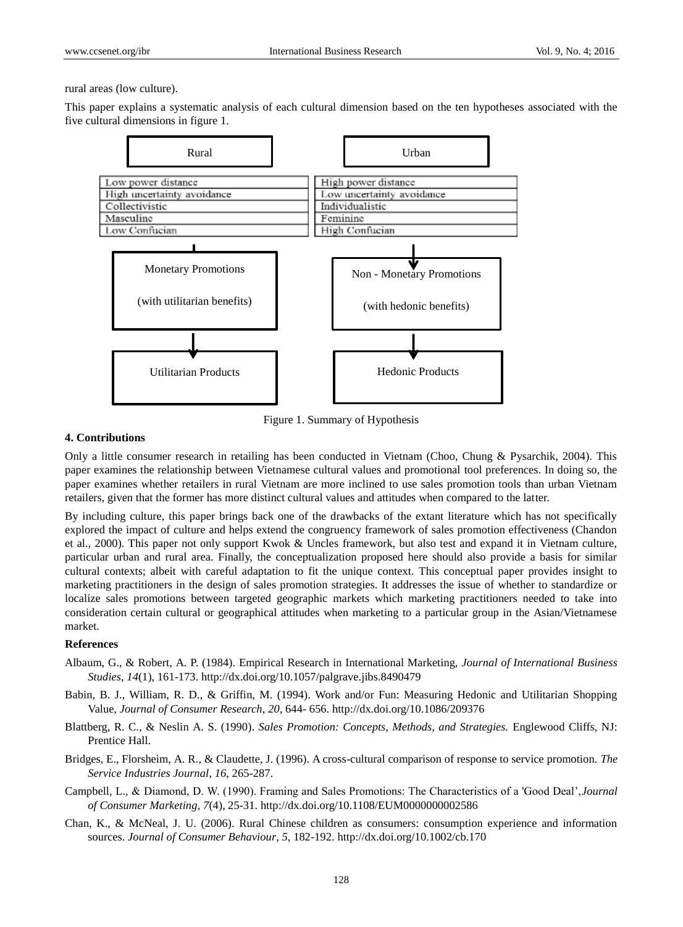rural areas (low culture).

This paper explains a systematic analysis of each cultural dimension based on the ten hypotheses associated with the five cultural dimensions in figure 1.



Figure 1. Summary of Hypothesis

#### **4. Contributions**

Only a little consumer research in retailing has been conducted in Vietnam (Choo, Chung & Pysarchik, 2004). This paper examines the relationship between Vietnamese cultural values and promotional tool preferences. In doing so, the paper examines whether retailers in rural Vietnam are more inclined to use sales promotion tools than urban Vietnam retailers, given that the former has more distinct cultural values and attitudes when compared to the latter.

By including culture, this paper brings back one of the drawbacks of the extant literature which has not specifically explored the impact of culture and helps extend the congruency framework of sales promotion effectiveness (Chandon et al., 2000). This paper not only support Kwok & Uncles framework, but also test and expand it in Vietnam culture, particular urban and rural area. Finally, the conceptualization proposed here should also provide a basis for similar cultural contexts; albeit with careful adaptation to fit the unique context. This conceptual paper provides insight to marketing practitioners in the design of sales promotion strategies. It addresses the issue of whether to standardize or localize sales promotions between targeted geographic markets which marketing practitioners needed to take into consideration certain cultural or geographical attitudes when marketing to a particular group in the Asian/Vietnamese market.

#### **References**

- Albaum, G., & Robert, A. P. (1984). Empirical Research in International Marketing, *Journal of International Business Studies*, *14*(1), 161-173[. http://dx.doi.org/10.1057/palgrave.jibs.8490479](http://dx.doi.org/10.1057/palgrave.jibs.8490479)
- Babin, B. J., William, R. D., & Griffin, M. (1994). Work and/or Fun: Measuring Hedonic and Utilitarian Shopping Value, *Journal of Consumer Research*, *20*, 644- 656[. http://dx.doi.org/10.1086/209376](http://dx.doi.org/10.1086/209376)
- Blattberg, R. C., & Neslin A. S. (1990). *Sales Promotion: Concepts, Methods, and Strategies.* Englewood Cliffs, NJ: Prentice Hall.
- Bridges, E., Florsheim, A. R., & Claudette, J. (1996). A cross-cultural comparison of response to service promotion. *The Service Industries Journal*, *16*, 265-287.
- Campbell, L., & Diamond, D. W. (1990). Framing and Sales Promotions: The Characteristics of a 'Good Deal',*Journal of Consumer Marketing*, *7*(4), 25-31.<http://dx.doi.org/10.1108/EUM0000000002586>
- Chan, K., & McNeal, J. U. (2006). Rural Chinese children as consumers: consumption experience and information sources. *Journal of Consumer Behaviour*, *5*, 182-192.<http://dx.doi.org/10.1002/cb.170>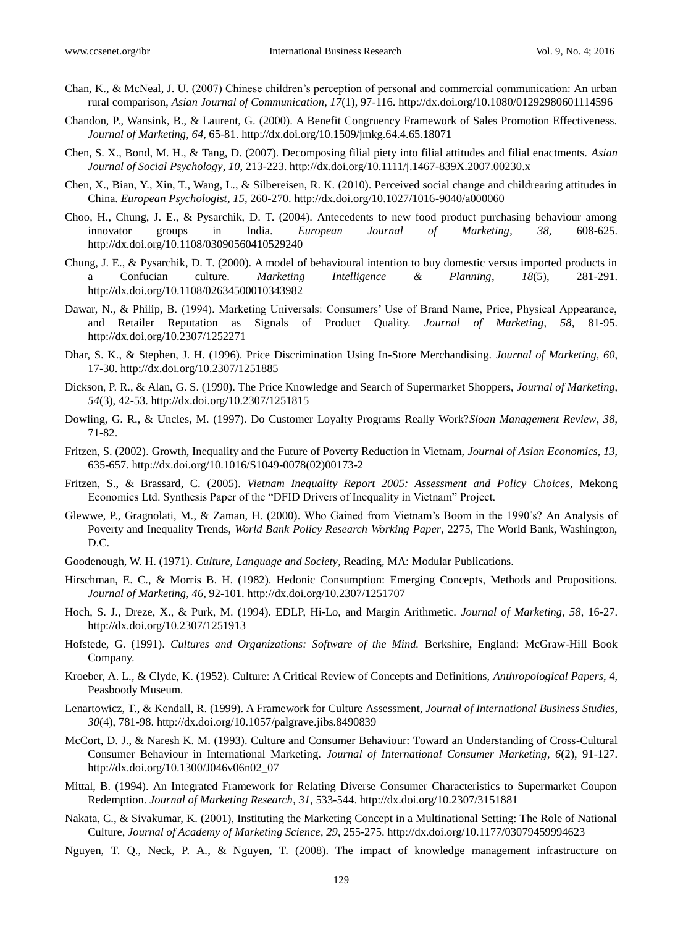- Chan, K., & McNeal, J. U. (2007) Chinese children's perception of personal and commercial communication: An urban rural comparison, *Asian Journal of Communication*, *17*(1), 97-116. <http://dx.doi.org/10.1080/01292980601114596>
- Chandon, P., Wansink, B., & Laurent, G. (2000). A Benefit Congruency Framework of Sales Promotion Effectiveness. *Journal of Marketing*, *64*, 65-81[. http://dx.doi.org/10.1509/jmkg.64.4.65.18071](http://dx.doi.org/10.1509/jmkg.64.4.65.18071)
- Chen, S. X., Bond, M. H., & Tang, D. (2007). Decomposing filial piety into filial attitudes and filial enactments. *Asian Journal of Social Psychology*, *10*, 213-223. http://dx.doi.org/10.1111/j.1467-839X.2007.00230.x
- Chen, X., Bian, Y., Xin, T., Wang, L., & Silbereisen, R. K. (2010). Perceived social change and childrearing attitudes in China. *European Psychologist*, *15*, 260-270. http://dx.doi.org/10.1027/1016-9040/a000060
- Choo, H., Chung, J. E., & Pysarchik, D. T. (2004). Antecedents to new food product purchasing behaviour among innovator groups in India. *European Journal of Marketing*, *38*, 608-625. <http://dx.doi.org/10.1108/03090560410529240>
- Chung, J. E., & Pysarchik, D. T. (2000). A model of behavioural intention to buy domestic versus imported products in a Confucian culture. *Marketing Intelligence & Planning*, *18*(5), 281-291. <http://dx.doi.org/10.1108/02634500010343982>
- Dawar, N., & Philip, B. (1994). Marketing Universals: Consumers' Use of Brand Name, Price, Physical Appearance, and Retailer Reputation as Signals of Product Quality. *Journal of Marketing*, *58*, 81-95. <http://dx.doi.org/10.2307/1252271>
- Dhar, S. K., & Stephen, J. H. (1996). Price Discrimination Using In-Store Merchandising. *Journal of Marketing*, *60*, 17-30.<http://dx.doi.org/10.2307/1251885>
- Dickson, P. R., & Alan, G. S. (1990). The Price Knowledge and Search of Supermarket Shoppers, *Journal of Marketing*, *54*(3), 42-53[. http://dx.doi.org/10.2307/1251815](http://dx.doi.org/10.2307/1251815)
- Dowling, G. R., & Uncles, M. (1997). Do Customer Loyalty Programs Really Work?*Sloan Management Review*, *38*, 71-82.
- Fritzen, S. (2002). Growth, Inequality and the Future of Poverty Reduction in Vietnam, *Journal of Asian Economics, 13*, 635-657. [http://dx.doi.org/10.1016/S1049-0078\(02\)00173-2](http://dx.doi.org/10.1016/S1049-0078%2802%2900173-2)
- Fritzen, S., & Brassard, C. (2005). *Vietnam Inequality Report 2005: Assessment and Policy Choices*, Mekong Economics Ltd. Synthesis Paper of the "DFID Drivers of Inequality in Vietnam" Project.
- Glewwe, P., Gragnolati, M., & Zaman, H. (2000). Who Gained from Vietnam's Boom in the 1990's? An Analysis of Poverty and Inequality Trends, *World Bank Policy Research Working Paper*, 2275, The World Bank, Washington, D.C.
- Goodenough, W. H. (1971). *Culture, Language and Society*, Reading, MA: Modular Publications.
- Hirschman, E. C., & Morris B. H. (1982). Hedonic Consumption: Emerging Concepts, Methods and Propositions. *Journal of Marketing*, *46*, 92-101[. http://dx.doi.org/10.2307/1251707](http://dx.doi.org/10.2307/1251707)
- Hoch, S. J., Dreze, X., & Purk, M. (1994). EDLP, Hi-Lo, and Margin Arithmetic. *Journal of Marketing*, *58*, 16-27. <http://dx.doi.org/10.2307/1251913>
- Hofstede, G. (1991). *Cultures and Organizations: Software of the Mind.* Berkshire, England: McGraw-Hill Book Company.
- Kroeber, A. L., & Clyde, K. (1952). Culture: A Critical Review of Concepts and Definitions, *Anthropological Papers*, 4, Peasboody Museum.
- Lenartowicz, T., & Kendall, R. (1999). A Framework for Culture Assessment, *Journal of International Business Studies*, *30*(4), 781-98[. http://dx.doi.org/10.1057/palgrave.jibs.8490839](http://dx.doi.org/10.1057/palgrave.jibs.8490839)
- McCort, D. J., & Naresh K. M. (1993). Culture and Consumer Behaviour: Toward an Understanding of Cross-Cultural Consumer Behaviour in International Marketing. *Journal of International Consumer Marketing*, *6*(2), 91-127. [http://dx.doi.org/10.1300/J046v06n02\\_07](http://dx.doi.org/10.1300/J046v06n02_07)
- Mittal, B. (1994). An Integrated Framework for Relating Diverse Consumer Characteristics to Supermarket Coupon Redemption. *Journal of Marketing Research*, *31*, 533-544.<http://dx.doi.org/10.2307/3151881>
- Nakata, C., & Sivakumar, K. (2001), Instituting the Marketing Concept in a Multinational Setting: The Role of National Culture, *Journal of Academy of Marketing Science*, *29*, 255-275.<http://dx.doi.org/10.1177/03079459994623>
- Nguyen, T. Q., Neck, P. A., & Nguyen, T. (2008). The impact of knowledge management infrastructure on